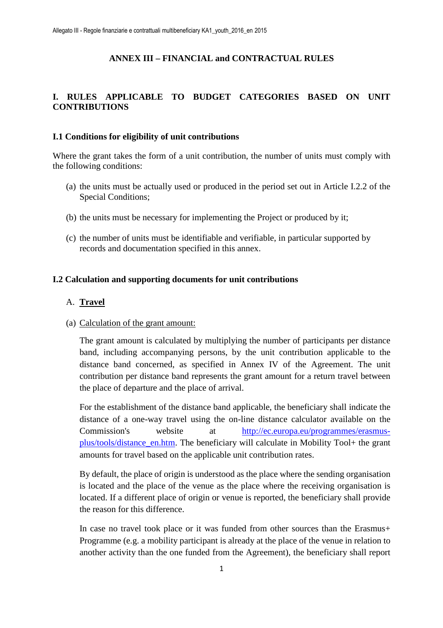## **ANNEX III – FINANCIAL and CONTRACTUAL RULES**

## **I. RULES APPLICABLE TO BUDGET CATEGORIES BASED ON UNIT CONTRIBUTIONS**

#### **I.1 Conditions for eligibility of unit contributions**

Where the grant takes the form of a unit contribution, the number of units must comply with the following conditions:

- (a) the units must be actually used or produced in the period set out in Article I.2.2 of the Special Conditions;
- (b) the units must be necessary for implementing the Project or produced by it;
- (c) the number of units must be identifiable and verifiable, in particular supported by records and documentation specified in this annex.

#### **I.2 Calculation and supporting documents for unit contributions**

#### A. **Travel**

(a) Calculation of the grant amount:

The grant amount is calculated by multiplying the number of participants per distance band, including accompanying persons, by the unit contribution applicable to the distance band concerned, as specified in Annex IV of the Agreement. The unit contribution per distance band represents the grant amount for a return travel between the place of departure and the place of arrival.

For the establishment of the distance band applicable, the beneficiary shall indicate the distance of a one-way travel using the on-line distance calculator available on the Commission's website at http://ec.europa.eu/programmes/erasmusplus/tools/distance\_en.htm. The beneficiary will calculate in Mobility Tool+ the grant amounts for travel based on the applicable unit contribution rates.

By default, the place of origin is understood as the place where the sending organisation is located and the place of the venue as the place where the receiving organisation is located. If a different place of origin or venue is reported, the beneficiary shall provide the reason for this difference.

In case no travel took place or it was funded from other sources than the Erasmus+ Programme (e.g. a mobility participant is already at the place of the venue in relation to another activity than the one funded from the Agreement), the beneficiary shall report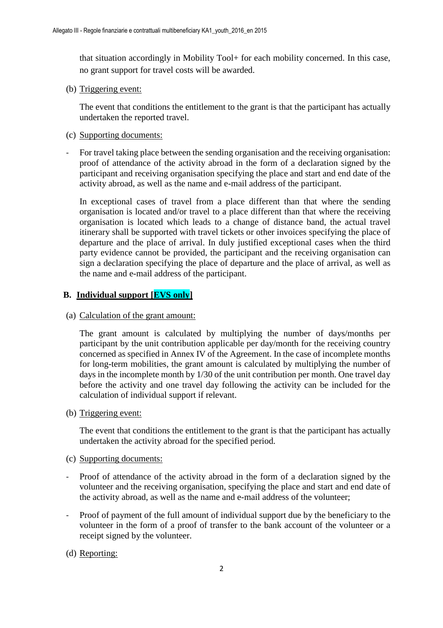that situation accordingly in Mobility Tool+ for each mobility concerned. In this case, no grant support for travel costs will be awarded.

(b) Triggering event:

The event that conditions the entitlement to the grant is that the participant has actually undertaken the reported travel.

- (c) Supporting documents:
- For travel taking place between the sending organisation and the receiving organisation: proof of attendance of the activity abroad in the form of a declaration signed by the participant and receiving organisation specifying the place and start and end date of the activity abroad, as well as the name and e-mail address of the participant.

In exceptional cases of travel from a place different than that where the sending organisation is located and/or travel to a place different than that where the receiving organisation is located which leads to a change of distance band, the actual travel itinerary shall be supported with travel tickets or other invoices specifying the place of departure and the place of arrival. In duly justified exceptional cases when the third party evidence cannot be provided, the participant and the receiving organisation can sign a declaration specifying the place of departure and the place of arrival, as well as the name and e-mail address of the participant.

#### **B. Individual support [EVS only]**

(a) Calculation of the grant amount:

The grant amount is calculated by multiplying the number of days/months per participant by the unit contribution applicable per day/month for the receiving country concerned as specified in Annex IV of the Agreement. In the case of incomplete months for long-term mobilities, the grant amount is calculated by multiplying the number of days in the incomplete month by 1/30 of the unit contribution per month. One travel day before the activity and one travel day following the activity can be included for the calculation of individual support if relevant.

(b) Triggering event:

The event that conditions the entitlement to the grant is that the participant has actually undertaken the activity abroad for the specified period.

- (c) Supporting documents:
- Proof of attendance of the activity abroad in the form of a declaration signed by the volunteer and the receiving organisation, specifying the place and start and end date of the activity abroad, as well as the name and e-mail address of the volunteer;
- Proof of payment of the full amount of individual support due by the beneficiary to the volunteer in the form of a proof of transfer to the bank account of the volunteer or a receipt signed by the volunteer.
- (d) Reporting: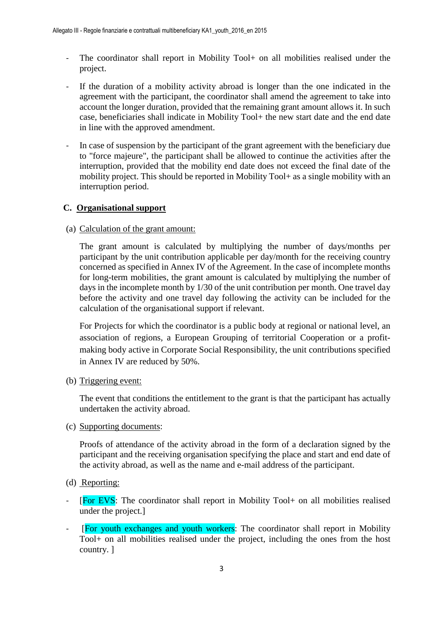- The coordinator shall report in Mobility Tool+ on all mobilities realised under the project.
- If the duration of a mobility activity abroad is longer than the one indicated in the agreement with the participant, the coordinator shall amend the agreement to take into account the longer duration, provided that the remaining grant amount allows it. In such case, beneficiaries shall indicate in Mobility Tool+ the new start date and the end date in line with the approved amendment.
- In case of suspension by the participant of the grant agreement with the beneficiary due to "force majeure", the participant shall be allowed to continue the activities after the interruption, provided that the mobility end date does not exceed the final date of the mobility project. This should be reported in Mobility Tool+ as a single mobility with an interruption period.

## **C. Organisational support**

(a) Calculation of the grant amount:

The grant amount is calculated by multiplying the number of days/months per participant by the unit contribution applicable per day/month for the receiving country concerned as specified in Annex IV of the Agreement. In the case of incomplete months for long-term mobilities, the grant amount is calculated by multiplying the number of days in the incomplete month by 1/30 of the unit contribution per month. One travel day before the activity and one travel day following the activity can be included for the calculation of the organisational support if relevant.

For Projects for which the coordinator is a public body at regional or national level, an association of regions, a European Grouping of territorial Cooperation or a profitmaking body active in Corporate Social Responsibility, the unit contributions specified in Annex IV are reduced by 50%.

(b) Triggering event:

The event that conditions the entitlement to the grant is that the participant has actually undertaken the activity abroad.

(c) Supporting documents:

Proofs of attendance of the activity abroad in the form of a declaration signed by the participant and the receiving organisation specifying the place and start and end date of the activity abroad, as well as the name and e-mail address of the participant.

- (d) Reporting:
- [For EVS: The coordinator shall report in Mobility Tool+ on all mobilities realised under the project.]
- [For youth exchanges and youth workers: The coordinator shall report in Mobility Tool+ on all mobilities realised under the project, including the ones from the host country. ]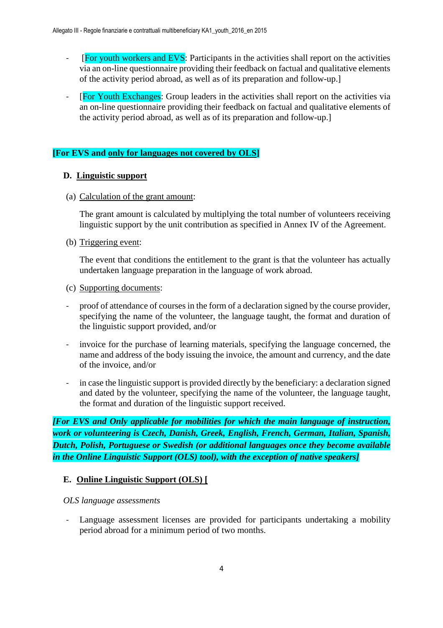- [For youth workers and EVS: Participants in the activities shall report on the activities via an on-line questionnaire providing their feedback on factual and qualitative elements of the activity period abroad, as well as of its preparation and follow-up.]
- [For Youth Exchanges: Group leaders in the activities shall report on the activities via an on-line questionnaire providing their feedback on factual and qualitative elements of the activity period abroad, as well as of its preparation and follow-up.]

## **[For EVS and only for languages not covered by OLS]**

#### **D. Linguistic support**

(a) Calculation of the grant amount:

The grant amount is calculated by multiplying the total number of volunteers receiving linguistic support by the unit contribution as specified in Annex IV of the Agreement.

(b) Triggering event:

The event that conditions the entitlement to the grant is that the volunteer has actually undertaken language preparation in the language of work abroad.

- (c) Supporting documents:
- proof of attendance of courses in the form of a declaration signed by the course provider, specifying the name of the volunteer, the language taught, the format and duration of the linguistic support provided, and/or
- invoice for the purchase of learning materials, specifying the language concerned, the name and address of the body issuing the invoice, the amount and currency, and the date of the invoice, and/or
- in case the linguistic support is provided directly by the beneficiary: a declaration signed and dated by the volunteer, specifying the name of the volunteer, the language taught, the format and duration of the linguistic support received.

*[For EVS and Only applicable for mobilities for which the main language of instruction, work or volunteering is Czech, Danish, Greek, English, French, German, Italian, Spanish, Dutch, Polish, Portuguese or Swedish (or additional languages once they become available in the Online Linguistic Support (OLS) tool), with the exception of native speakers]* 

#### **E. Online Linguistic Support (OLS) [**

#### *OLS language assessments*

- Language assessment licenses are provided for participants undertaking a mobility period abroad for a minimum period of two months.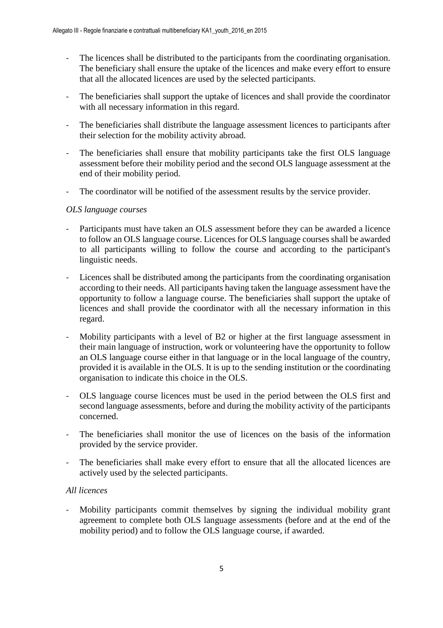- The licences shall be distributed to the participants from the coordinating organisation. The beneficiary shall ensure the uptake of the licences and make every effort to ensure that all the allocated licences are used by the selected participants.
- The beneficiaries shall support the uptake of licences and shall provide the coordinator with all necessary information in this regard.
- The beneficiaries shall distribute the language assessment licences to participants after their selection for the mobility activity abroad.
- The beneficiaries shall ensure that mobility participants take the first OLS language assessment before their mobility period and the second OLS language assessment at the end of their mobility period.
- The coordinator will be notified of the assessment results by the service provider.

#### *OLS language courses*

- Participants must have taken an OLS assessment before they can be awarded a licence to follow an OLS language course. Licences for OLS language courses shall be awarded to all participants willing to follow the course and according to the participant's linguistic needs.
- Licences shall be distributed among the participants from the coordinating organisation according to their needs. All participants having taken the language assessment have the opportunity to follow a language course. The beneficiaries shall support the uptake of licences and shall provide the coordinator with all the necessary information in this regard.
- Mobility participants with a level of B2 or higher at the first language assessment in their main language of instruction, work or volunteering have the opportunity to follow an OLS language course either in that language or in the local language of the country, provided it is available in the OLS. It is up to the sending institution or the coordinating organisation to indicate this choice in the OLS.
- OLS language course licences must be used in the period between the OLS first and second language assessments, before and during the mobility activity of the participants concerned.
- The beneficiaries shall monitor the use of licences on the basis of the information provided by the service provider.
- The beneficiaries shall make every effort to ensure that all the allocated licences are actively used by the selected participants.

## *All licences*

Mobility participants commit themselves by signing the individual mobility grant agreement to complete both OLS language assessments (before and at the end of the mobility period) and to follow the OLS language course, if awarded.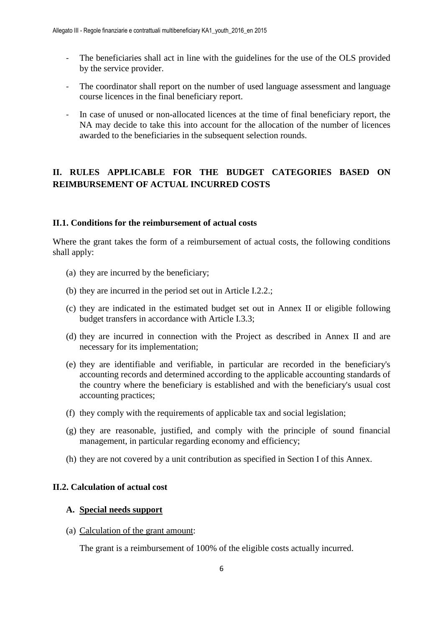- The beneficiaries shall act in line with the guidelines for the use of the OLS provided by the service provider.
- The coordinator shall report on the number of used language assessment and language course licences in the final beneficiary report.
- In case of unused or non-allocated licences at the time of final beneficiary report, the NA may decide to take this into account for the allocation of the number of licences awarded to the beneficiaries in the subsequent selection rounds.

## **II. RULES APPLICABLE FOR THE BUDGET CATEGORIES BASED ON REIMBURSEMENT OF ACTUAL INCURRED COSTS**

#### **II.1. Conditions for the reimbursement of actual costs**

Where the grant takes the form of a reimbursement of actual costs, the following conditions shall apply:

- (a) they are incurred by the beneficiary;
- (b) they are incurred in the period set out in Article I.2.2.;
- (c) they are indicated in the estimated budget set out in Annex II or eligible following budget transfers in accordance with Article I.3.3;
- (d) they are incurred in connection with the Project as described in Annex II and are necessary for its implementation;
- (e) they are identifiable and verifiable, in particular are recorded in the beneficiary's accounting records and determined according to the applicable accounting standards of the country where the beneficiary is established and with the beneficiary's usual cost accounting practices;
- (f) they comply with the requirements of applicable tax and social legislation;
- (g) they are reasonable, justified, and comply with the principle of sound financial management, in particular regarding economy and efficiency;
- (h) they are not covered by a unit contribution as specified in Section I of this Annex.

#### **II.2. Calculation of actual cost**

#### **A. Special needs support**

(a) Calculation of the grant amount:

The grant is a reimbursement of 100% of the eligible costs actually incurred.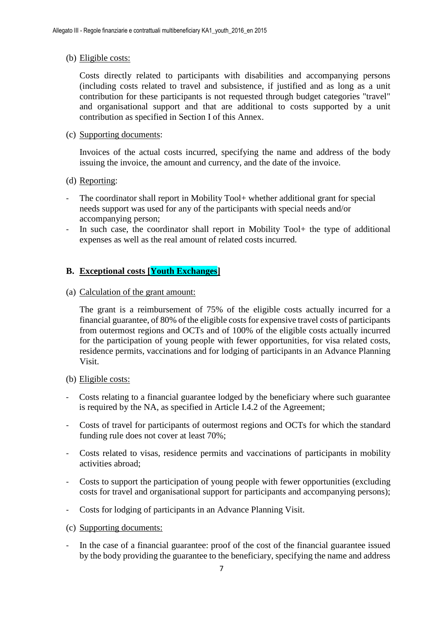#### (b) Eligible costs:

Costs directly related to participants with disabilities and accompanying persons (including costs related to travel and subsistence, if justified and as long as a unit contribution for these participants is not requested through budget categories "travel" and organisational support and that are additional to costs supported by a unit contribution as specified in Section I of this Annex.

#### (c) Supporting documents:

Invoices of the actual costs incurred, specifying the name and address of the body issuing the invoice, the amount and currency, and the date of the invoice.

- (d) Reporting:
- The coordinator shall report in Mobility Tool+ whether additional grant for special needs support was used for any of the participants with special needs and/or accompanying person;
- In such case, the coordinator shall report in Mobility Tool+ the type of additional expenses as well as the real amount of related costs incurred.

## **B. Exceptional costs [Youth Exchanges]**

(a) Calculation of the grant amount:

The grant is a reimbursement of 75% of the eligible costs actually incurred for a financial guarantee, of 80% of the eligible costs for expensive travel costs of participants from outermost regions and OCTs and of 100% of the eligible costs actually incurred for the participation of young people with fewer opportunities, for visa related costs, residence permits, vaccinations and for lodging of participants in an Advance Planning Visit.

- (b) Eligible costs:
- Costs relating to a financial guarantee lodged by the beneficiary where such guarantee is required by the NA, as specified in Article I.4.2 of the Agreement;
- Costs of travel for participants of outermost regions and OCTs for which the standard funding rule does not cover at least 70%;
- Costs related to visas, residence permits and vaccinations of participants in mobility activities abroad;
- Costs to support the participation of young people with fewer opportunities (excluding costs for travel and organisational support for participants and accompanying persons);
- Costs for lodging of participants in an Advance Planning Visit.
- (c) Supporting documents:
- In the case of a financial guarantee: proof of the cost of the financial guarantee issued by the body providing the guarantee to the beneficiary, specifying the name and address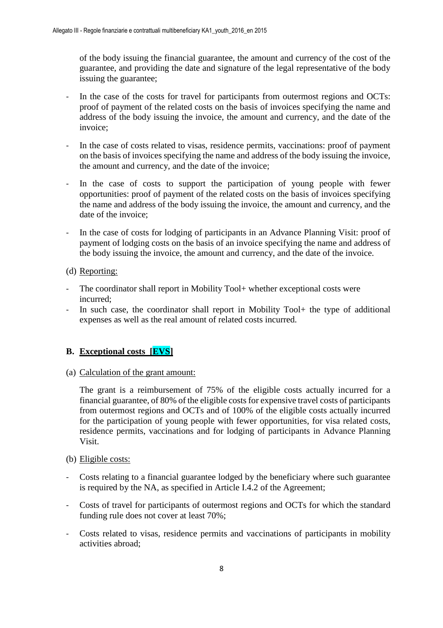of the body issuing the financial guarantee, the amount and currency of the cost of the guarantee, and providing the date and signature of the legal representative of the body issuing the guarantee;

- In the case of the costs for travel for participants from outermost regions and OCTs: proof of payment of the related costs on the basis of invoices specifying the name and address of the body issuing the invoice, the amount and currency, and the date of the invoice;
- In the case of costs related to visas, residence permits, vaccinations: proof of payment on the basis of invoices specifying the name and address of the body issuing the invoice, the amount and currency, and the date of the invoice;
- In the case of costs to support the participation of young people with fewer opportunities: proof of payment of the related costs on the basis of invoices specifying the name and address of the body issuing the invoice, the amount and currency, and the date of the invoice;
- In the case of costs for lodging of participants in an Advance Planning Visit: proof of payment of lodging costs on the basis of an invoice specifying the name and address of the body issuing the invoice, the amount and currency, and the date of the invoice.
- (d) Reporting:
- The coordinator shall report in Mobility Tool+ whether exceptional costs were incurred;
- In such case, the coordinator shall report in Mobility Tool+ the type of additional expenses as well as the real amount of related costs incurred.

## **B. Exceptional costs [EVS]**

(a) Calculation of the grant amount:

The grant is a reimbursement of 75% of the eligible costs actually incurred for a financial guarantee, of 80% of the eligible costs for expensive travel costs of participants from outermost regions and OCTs and of 100% of the eligible costs actually incurred for the participation of young people with fewer opportunities, for visa related costs, residence permits, vaccinations and for lodging of participants in Advance Planning Visit.

#### (b) Eligible costs:

- Costs relating to a financial guarantee lodged by the beneficiary where such guarantee is required by the NA, as specified in Article I.4.2 of the Agreement;
- Costs of travel for participants of outermost regions and OCTs for which the standard funding rule does not cover at least 70%;
- Costs related to visas, residence permits and vaccinations of participants in mobility activities abroad;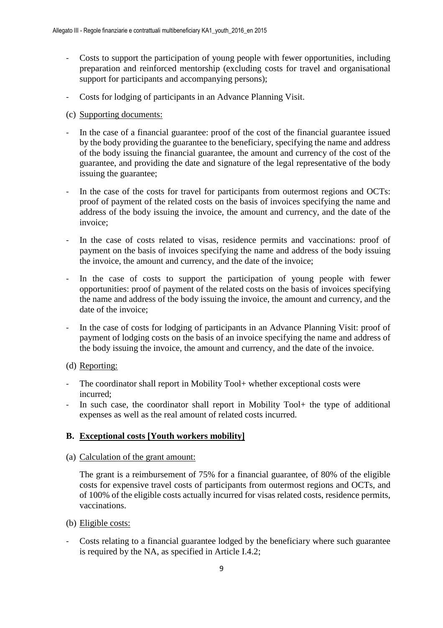- Costs to support the participation of young people with fewer opportunities, including preparation and reinforced mentorship (excluding costs for travel and organisational support for participants and accompanying persons);
- Costs for lodging of participants in an Advance Planning Visit.
- (c) Supporting documents:
- In the case of a financial guarantee: proof of the cost of the financial guarantee issued by the body providing the guarantee to the beneficiary, specifying the name and address of the body issuing the financial guarantee, the amount and currency of the cost of the guarantee, and providing the date and signature of the legal representative of the body issuing the guarantee;
- In the case of the costs for travel for participants from outermost regions and OCTs: proof of payment of the related costs on the basis of invoices specifying the name and address of the body issuing the invoice, the amount and currency, and the date of the invoice;
- In the case of costs related to visas, residence permits and vaccinations: proof of payment on the basis of invoices specifying the name and address of the body issuing the invoice, the amount and currency, and the date of the invoice;
- In the case of costs to support the participation of young people with fewer opportunities: proof of payment of the related costs on the basis of invoices specifying the name and address of the body issuing the invoice, the amount and currency, and the date of the invoice;
- In the case of costs for lodging of participants in an Advance Planning Visit: proof of payment of lodging costs on the basis of an invoice specifying the name and address of the body issuing the invoice, the amount and currency, and the date of the invoice.

#### (d) Reporting:

- The coordinator shall report in Mobility Tool+ whether exceptional costs were incurred;
- In such case, the coordinator shall report in Mobility Tool+ the type of additional expenses as well as the real amount of related costs incurred.

## **B. Exceptional costs [Youth workers mobility]**

(a) Calculation of the grant amount:

The grant is a reimbursement of 75% for a financial guarantee, of 80% of the eligible costs for expensive travel costs of participants from outermost regions and OCTs, and of 100% of the eligible costs actually incurred for visas related costs, residence permits, vaccinations.

- (b) Eligible costs:
- Costs relating to a financial guarantee lodged by the beneficiary where such guarantee is required by the NA, as specified in Article I.4.2;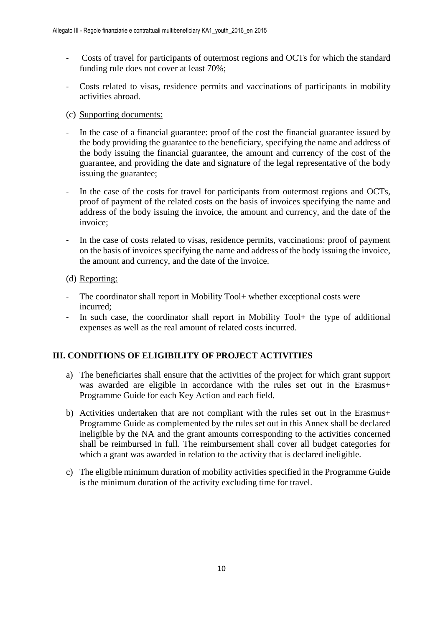- Costs of travel for participants of outermost regions and OCTs for which the standard funding rule does not cover at least 70%;
- Costs related to visas, residence permits and vaccinations of participants in mobility activities abroad.
- (c) Supporting documents:
- In the case of a financial guarantee: proof of the cost the financial guarantee issued by the body providing the guarantee to the beneficiary, specifying the name and address of the body issuing the financial guarantee, the amount and currency of the cost of the guarantee, and providing the date and signature of the legal representative of the body issuing the guarantee;
- In the case of the costs for travel for participants from outermost regions and OCTs, proof of payment of the related costs on the basis of invoices specifying the name and address of the body issuing the invoice, the amount and currency, and the date of the invoice;
- In the case of costs related to visas, residence permits, vaccinations: proof of payment on the basis of invoices specifying the name and address of the body issuing the invoice, the amount and currency, and the date of the invoice.
- (d) Reporting:
- The coordinator shall report in Mobility Tool + whether exceptional costs were incurred;
- In such case, the coordinator shall report in Mobility Tool+ the type of additional expenses as well as the real amount of related costs incurred.

## **III. CONDITIONS OF ELIGIBILITY OF PROJECT ACTIVITIES**

- a) The beneficiaries shall ensure that the activities of the project for which grant support was awarded are eligible in accordance with the rules set out in the Erasmus+ Programme Guide for each Key Action and each field.
- b) Activities undertaken that are not compliant with the rules set out in the Erasmus+ Programme Guide as complemented by the rules set out in this Annex shall be declared ineligible by the NA and the grant amounts corresponding to the activities concerned shall be reimbursed in full. The reimbursement shall cover all budget categories for which a grant was awarded in relation to the activity that is declared ineligible.
- c) The eligible minimum duration of mobility activities specified in the Programme Guide is the minimum duration of the activity excluding time for travel.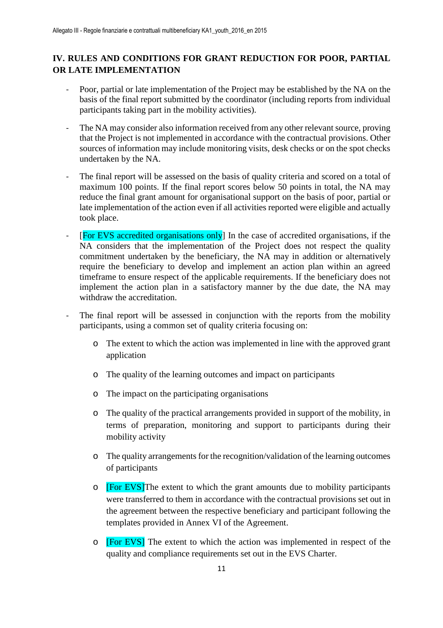## **IV. RULES AND CONDITIONS FOR GRANT REDUCTION FOR POOR, PARTIAL OR LATE IMPLEMENTATION**

- Poor, partial or late implementation of the Project may be established by the NA on the basis of the final report submitted by the coordinator (including reports from individual participants taking part in the mobility activities).
- The NA may consider also information received from any other relevant source, proving that the Project is not implemented in accordance with the contractual provisions. Other sources of information may include monitoring visits, desk checks or on the spot checks undertaken by the NA.
- The final report will be assessed on the basis of quality criteria and scored on a total of maximum 100 points. If the final report scores below 50 points in total, the NA may reduce the final grant amount for organisational support on the basis of poor, partial or late implementation of the action even if all activities reported were eligible and actually took place.
- [For EVS accredited organisations only] In the case of accredited organisations, if the NA considers that the implementation of the Project does not respect the quality commitment undertaken by the beneficiary, the NA may in addition or alternatively require the beneficiary to develop and implement an action plan within an agreed timeframe to ensure respect of the applicable requirements. If the beneficiary does not implement the action plan in a satisfactory manner by the due date, the NA may withdraw the accreditation.
- The final report will be assessed in conjunction with the reports from the mobility participants, using a common set of quality criteria focusing on:
	- o The extent to which the action was implemented in line with the approved grant application
	- o The quality of the learning outcomes and impact on participants
	- o The impact on the participating organisations
	- o The quality of the practical arrangements provided in support of the mobility, in terms of preparation, monitoring and support to participants during their mobility activity
	- o The quality arrangements for the recognition/validation of the learning outcomes of participants
	- o **[For EVS]**The extent to which the grant amounts due to mobility participants were transferred to them in accordance with the contractual provisions set out in the agreement between the respective beneficiary and participant following the templates provided in Annex VI of the Agreement.
	- o [For EVS] The extent to which the action was implemented in respect of the quality and compliance requirements set out in the EVS Charter.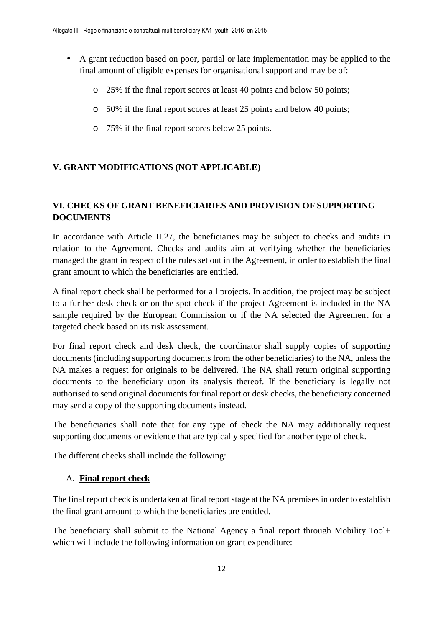- A grant reduction based on poor, partial or late implementation may be applied to the final amount of eligible expenses for organisational support and may be of:
	- o 25% if the final report scores at least 40 points and below 50 points;
	- o 50% if the final report scores at least 25 points and below 40 points;
	- o 75% if the final report scores below 25 points.

## **V. GRANT MODIFICATIONS (NOT APPLICABLE)**

## **VI. CHECKS OF GRANT BENEFICIARIES AND PROVISION OF SUPPORTING DOCUMENTS**

In accordance with Article II.27, the beneficiaries may be subject to checks and audits in relation to the Agreement. Checks and audits aim at verifying whether the beneficiaries managed the grant in respect of the rules set out in the Agreement, in order to establish the final grant amount to which the beneficiaries are entitled.

A final report check shall be performed for all projects. In addition, the project may be subject to a further desk check or on-the-spot check if the project Agreement is included in the NA sample required by the European Commission or if the NA selected the Agreement for a targeted check based on its risk assessment.

For final report check and desk check, the coordinator shall supply copies of supporting documents (including supporting documents from the other beneficiaries) to the NA, unless the NA makes a request for originals to be delivered. The NA shall return original supporting documents to the beneficiary upon its analysis thereof. If the beneficiary is legally not authorised to send original documents for final report or desk checks, the beneficiary concerned may send a copy of the supporting documents instead.

The beneficiaries shall note that for any type of check the NA may additionally request supporting documents or evidence that are typically specified for another type of check.

The different checks shall include the following:

## A. **Final report check**

The final report check is undertaken at final report stage at the NA premises in order to establish the final grant amount to which the beneficiaries are entitled.

The beneficiary shall submit to the National Agency a final report through Mobility Tool+ which will include the following information on grant expenditure: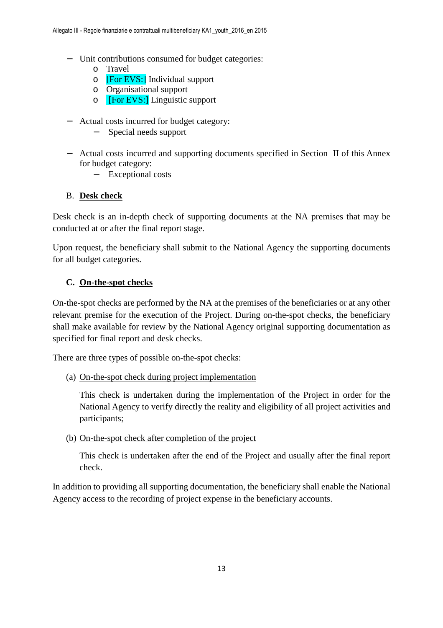- − Unit contributions consumed for budget categories:
	- o Travel
	- o [For EVS:] Individual support
	- o Organisational support
	- o [For EVS:] Linguistic support
- − Actual costs incurred for budget category:
	- Special needs support
- − Actual costs incurred and supporting documents specified in Section II of this Annex for budget category:
	- − Exceptional costs

## B. **Desk check**

Desk check is an in-depth check of supporting documents at the NA premises that may be conducted at or after the final report stage.

Upon request, the beneficiary shall submit to the National Agency the supporting documents for all budget categories.

## **C. On-the-spot checks**

On-the-spot checks are performed by the NA at the premises of the beneficiaries or at any other relevant premise for the execution of the Project. During on-the-spot checks, the beneficiary shall make available for review by the National Agency original supporting documentation as specified for final report and desk checks.

There are three types of possible on-the-spot checks:

(a) On-the-spot check during project implementation

This check is undertaken during the implementation of the Project in order for the National Agency to verify directly the reality and eligibility of all project activities and participants;

(b) On-the-spot check after completion of the project

This check is undertaken after the end of the Project and usually after the final report check.

In addition to providing all supporting documentation, the beneficiary shall enable the National Agency access to the recording of project expense in the beneficiary accounts.